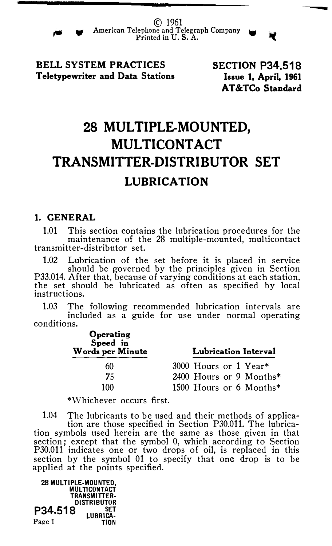

© 1961 WAMERICAN Telephone and Telegraph Company<br>Printed in U.S. A.

BELL SYSTEM PRACTICES Teletypewriter and Data Stations SECTION P34.518 Issue 1, April, 1961 AT&TCo Standard

--

## 28 MULTIPLE-MOUNTED, MULTICONTACT TRANSMITTER-DISTRIBUTOR SET LUBRICATION

#### 1. GENERAL

1.01 This section contains the lubrication procedures for the maintenance of the 28 multiple-mounted, multicontact transmitter-distributor set.

1.02 Lubrication of the set before it is placed in service should be governed by the principles given in Section P33.014. After that, because of varying conditions at each station, the set should be lubricated as often as specified by local instructions.

1.03 The following recommended lubrication intervals are included as a guide for use under normal operating conditions.

| Operating<br>Speed in<br>Words per Minute | Lubrication Interval    |
|-------------------------------------------|-------------------------|
| 60                                        | 3000 Hours or 1 Year*   |
| 75                                        | 2400 Hours or 9 Months* |
| 100                                       | 1500 Hours or 6 Months* |

\*Whichever occurs first.

1.04 The lubricants to be used and their methods of applica-tion are those specified in Section P30.011. The lubrication symbols used herein are the same as those given in that section; except that the symbol 0, which according to Section P30.011 indicates one or two drops of oil, is replaced in this section by the symbol 01 to specify that one drop is to be applied at the points specified.

28 MULTIPLE·MOUNTED, **MULTICONTACT** TRANSMITTER· DISTRIBUTOR  $P34.518$  LUBRICA. Page 1 TION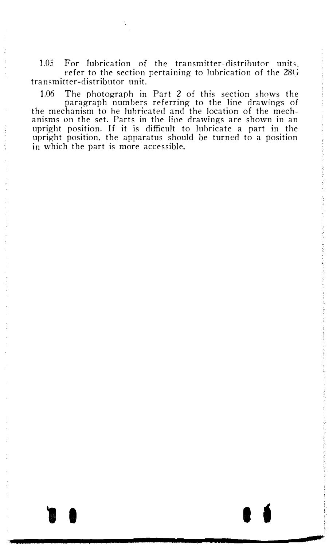1.05 For lubrication of the transmitter-distributor units refer to the section pertaining to lubrication of the  $28G$ transmitter-distributor unit.

1.06 The photograph in Part 2 of this section shows the paragraph numbers referring to the line drawings of the mechanism to he lubricated and the location of the mechanisms on the set. Parts in the line drawings are shown in an upright position. If it is difficult to lubricate a part in the upright position. the apparatus should be turned to a position in which the part is more accessible.

 $\bullet$  is a set of  $\bullet$  is a set of  $\bullet$  is a set of  $\bullet$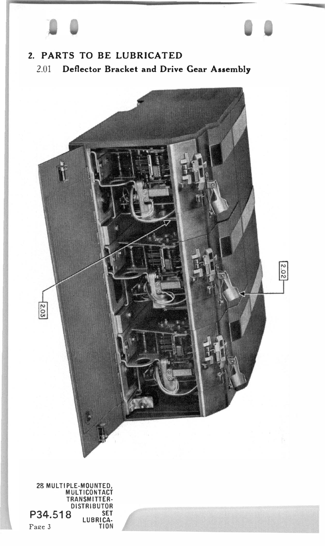# $\Box$

### 2. PARTS TO BE LUBRICATED 2.01 Deflector Bracket and Drive Gear Assembly

-

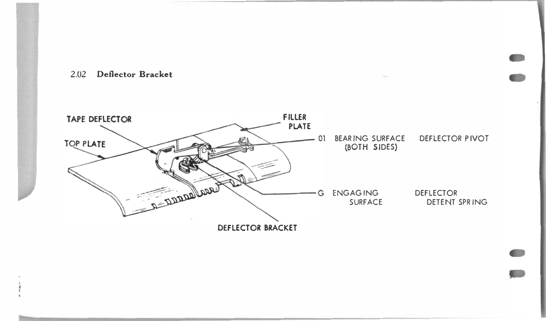

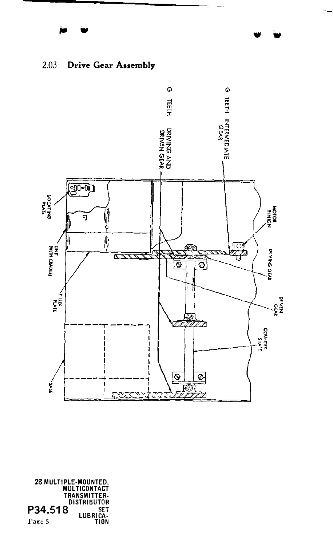



,28 MULTIPLE-MOUNTED<br>MULTICONTACT<br>TRANSMITTER-**DISTRIBUTOR** P34.518 SE<sub>T</sub> LUBRICA.<br>TION Page 5